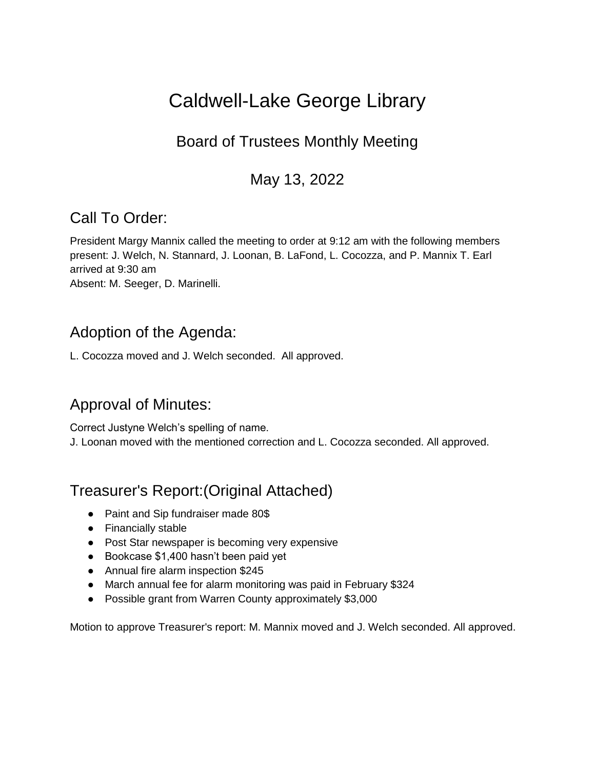# Caldwell-Lake George Library

## Board of Trustees Monthly Meeting

## May 13, 2022

## Call To Order:

President Margy Mannix called the meeting to order at 9:12 am with the following members present: J. Welch, N. Stannard, J. Loonan, B. LaFond, L. Cocozza, and P. Mannix T. Earl arrived at 9:30 am

Absent: M. Seeger, D. Marinelli.

## Adoption of the Agenda:

L. Cocozza moved and J. Welch seconded. All approved.

## Approval of Minutes:

Correct Justyne Welch's spelling of name. J. Loonan moved with the mentioned correction and L. Cocozza seconded. All approved.

## Treasurer's Report:(Original Attached)

- Paint and Sip fundraiser made 80\$
- Financially stable
- Post Star newspaper is becoming very expensive
- Bookcase \$1,400 hasn't been paid yet
- Annual fire alarm inspection \$245
- March annual fee for alarm monitoring was paid in February \$324
- Possible grant from Warren County approximately \$3,000

Motion to approve Treasurer's report: M. Mannix moved and J. Welch seconded. All approved.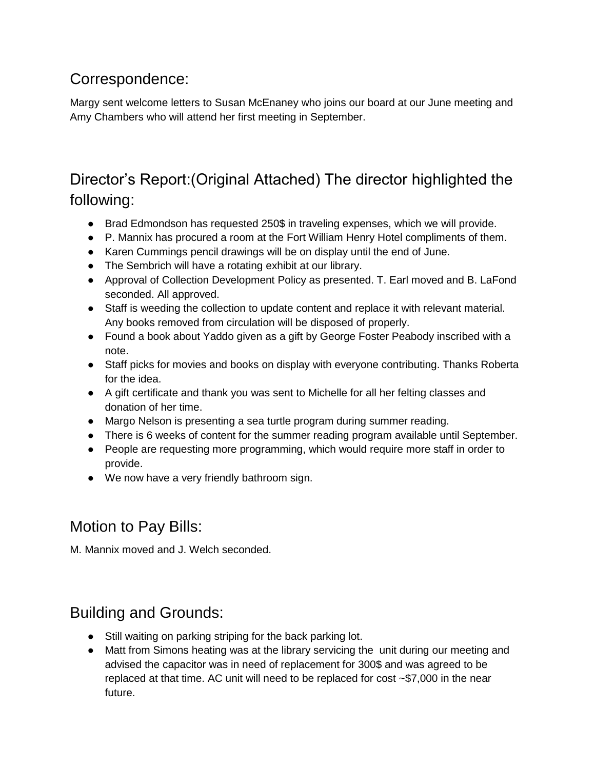## Correspondence:

Margy sent welcome letters to Susan McEnaney who joins our board at our June meeting and Amy Chambers who will attend her first meeting in September.

## Director's Report:(Original Attached) The director highlighted the following:

- Brad Edmondson has requested 250\$ in traveling expenses, which we will provide.
- P. Mannix has procured a room at the Fort William Henry Hotel compliments of them.
- Karen Cummings pencil drawings will be on display until the end of June.
- The Sembrich will have a rotating exhibit at our library.
- Approval of Collection Development Policy as presented. T. Earl moved and B. LaFond seconded. All approved.
- Staff is weeding the collection to update content and replace it with relevant material. Any books removed from circulation will be disposed of properly.
- Found a book about Yaddo given as a gift by George Foster Peabody inscribed with a note.
- Staff picks for movies and books on display with everyone contributing. Thanks Roberta for the idea.
- A gift certificate and thank you was sent to Michelle for all her felting classes and donation of her time.
- Margo Nelson is presenting a sea turtle program during summer reading.
- There is 6 weeks of content for the summer reading program available until September.
- People are requesting more programming, which would require more staff in order to provide.
- We now have a very friendly bathroom sign.

## Motion to Pay Bills:

M. Mannix moved and J. Welch seconded.

## Building and Grounds:

- Still waiting on parking striping for the back parking lot.
- Matt from Simons heating was at the library servicing the unit during our meeting and advised the capacitor was in need of replacement for 300\$ and was agreed to be replaced at that time. AC unit will need to be replaced for cost  $\sim$ \$7,000 in the near future.